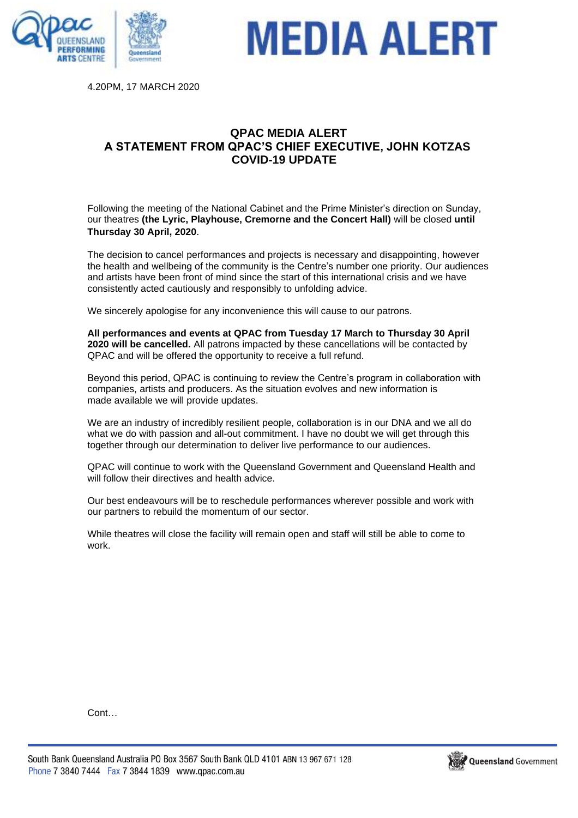

## **MEDIA ALERT**

4.20PM, 17 MARCH 2020

## **QPAC MEDIA ALERT A STATEMENT FROM QPAC'S CHIEF EXECUTIVE, JOHN KOTZAS COVID-19 UPDATE**

Following the meeting of the National Cabinet and the Prime Minister's direction on Sunday, our theatres **(the Lyric, Playhouse, Cremorne and the Concert Hall)** will be closed **until Thursday 30 April, 2020**.

The decision to cancel performances and projects is necessary and disappointing, however the health and wellbeing of the community is the Centre's number one priority. Our audiences and artists have been front of mind since the start of this international crisis and we have consistently acted cautiously and responsibly to unfolding advice.

We sincerely apologise for any inconvenience this will cause to our patrons.

**All performances and events at QPAC from Tuesday 17 March to Thursday 30 April 2020 will be cancelled.** All patrons impacted by these cancellations will be contacted by QPAC and will be offered the opportunity to receive a full refund.

Beyond this period, QPAC is continuing to review the Centre's program in collaboration with companies, artists and producers. As the situation evolves and new information is made available we will provide updates.

We are an industry of incredibly resilient people, collaboration is in our DNA and we all do what we do with passion and all-out commitment. I have no doubt we will get through this together through our determination to deliver live performance to our audiences.

QPAC will continue to work with the Queensland Government and Queensland Health and will follow their directives and health advice

Our best endeavours will be to reschedule performances wherever possible and work with our partners to rebuild the momentum of our sector.

While theatres will close the facility will remain open and staff will still be able to come to work.

Cont…